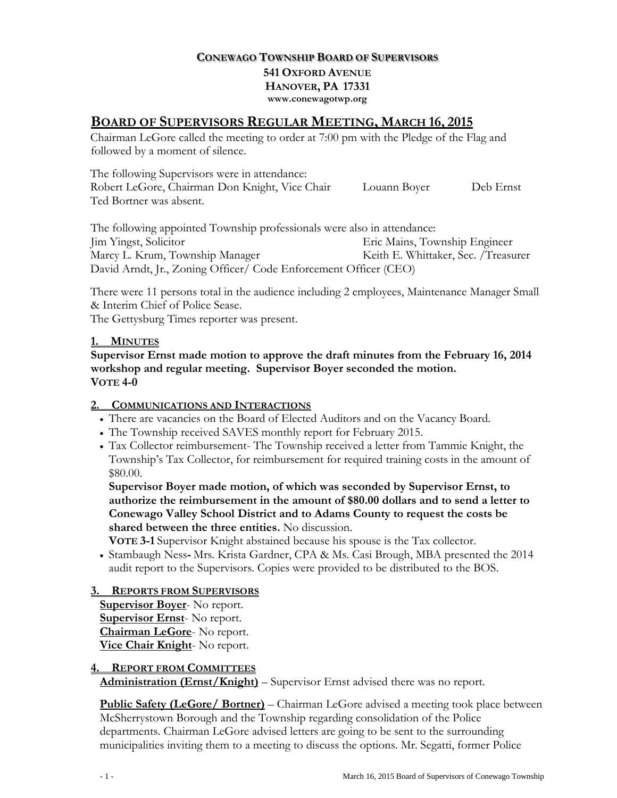## **CONEWAGO TOWNSHIP BOARD OF SUPERVISORS 541 OXFORD AVENUE HANOVER, PA 17331 www.conewagotwp.org**

## **BOARD OF SUPERVISORS REGULAR MEETING, MARCH 16, 2015**

Chairman LeGore called the meeting to order at 7:00 pm with the Pledge of the Flag and followed by a moment of silence.

The following Supervisors were in attendance: Robert LeGore, Chairman Don Knight, Vice Chair Louann Boyer Deb Ernst Ted Bortner was absent.

The following appointed Township professionals were also in attendance: Jim Yingst, Solicitor Eric Mains, Township Engineer Marcy L. Krum, Township Manager Keith E. Whittaker, Sec. /Treasurer David Arndt, Jr., Zoning Officer/ Code Enforcement Officer (CEO)

There were 11 persons total in the audience including 2 employees, Maintenance Manager Small & Interim Chief of Police Sease.

The Gettysburg Times reporter was present.

#### **1. MINUTES**

**Supervisor Ernst made motion to approve the draft minutes from the February 16, 2014 workshop and regular meeting. Supervisor Boyer seconded the motion. VOTE 4-0**

### **2. COMMUNICATIONS AND INTERACTIONS**

- There are vacancies on the Board of Elected Auditors and on the Vacancy Board.
- The Township received SAVES monthly report for February 2015.
- Tax Collector reimbursement- The Township received a letter from Tammie Knight, the Township's Tax Collector, for reimbursement for required training costs in the amount of \$80.00.

**Supervisor Boyer made motion, of which was seconded by Supervisor Ernst, to authorize the reimbursement in the amount of \$80.00 dollars and to send a letter to Conewago Valley School District and to Adams County to request the costs be shared between the three entities.** No discussion.

**VOTE 3-1** Supervisor Knight abstained because his spouse is the Tax collector.

 Stambaugh Ness**-** Mrs. Krista Gardner, CPA & Ms. Casi Brough, MBA presented the 2014 audit report to the Supervisors. Copies were provided to be distributed to the BOS.

### **3. REPORTS FROM SUPERVISORS**

**Supervisor Boyer**- No report. **Supervisor Ernst**- No report. **Chairman LeGore**- No report. **Vice Chair Knight**- No report.

#### **4. REPORT FROM COMMITTEES**

**Administration (Ernst/Knight)** – Supervisor Ernst advised there was no report.

**Public Safety (LeGore/ Bortner)** – Chairman LeGore advised a meeting took place between McSherrystown Borough and the Township regarding consolidation of the Police departments. Chairman LeGore advised letters are going to be sent to the surrounding municipalities inviting them to a meeting to discuss the options. Mr. Segatti, former Police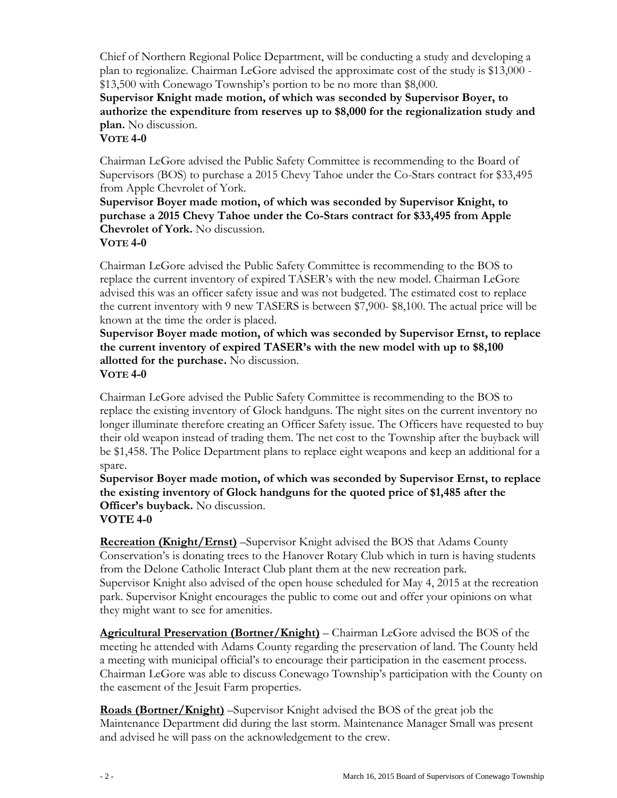Chief of Northern Regional Police Department, will be conducting a study and developing a plan to regionalize. Chairman LeGore advised the approximate cost of the study is \$13,000 - \$13,500 with Conewago Township's portion to be no more than \$8,000.

**Supervisor Knight made motion, of which was seconded by Supervisor Boyer, to authorize the expenditure from reserves up to \$8,000 for the regionalization study and plan.** No discussion.

## **VOTE 4-0**

Chairman LeGore advised the Public Safety Committee is recommending to the Board of Supervisors (BOS) to purchase a 2015 Chevy Tahoe under the Co-Stars contract for \$33,495 from Apple Chevrolet of York.

**Supervisor Boyer made motion, of which was seconded by Supervisor Knight, to purchase a 2015 Chevy Tahoe under the Co-Stars contract for \$33,495 from Apple Chevrolet of York.** No discussion. **VOTE 4-0**

Chairman LeGore advised the Public Safety Committee is recommending to the BOS to replace the current inventory of expired TASER's with the new model. Chairman LeGore advised this was an officer safety issue and was not budgeted. The estimated cost to replace the current inventory with 9 new TASERS is between \$7,900- \$8,100. The actual price will be known at the time the order is placed.

**Supervisor Boyer made motion, of which was seconded by Supervisor Ernst, to replace the current inventory of expired TASER's with the new model with up to \$8,100 allotted for the purchase.** No discussion. **VOTE 4-0**

Chairman LeGore advised the Public Safety Committee is recommending to the BOS to replace the existing inventory of Glock handguns. The night sites on the current inventory no longer illuminate therefore creating an Officer Safety issue. The Officers have requested to buy their old weapon instead of trading them. The net cost to the Township after the buyback will be \$1,458. The Police Department plans to replace eight weapons and keep an additional for a spare.

**Supervisor Boyer made motion, of which was seconded by Supervisor Ernst, to replace the existing inventory of Glock handguns for the quoted price of \$1,485 after the Officer's buyback.** No discussion. **VOTE 4-0**

**Recreation (Knight/Ernst)** –Supervisor Knight advised the BOS that Adams County Conservation's is donating trees to the Hanover Rotary Club which in turn is having students from the Delone Catholic Interact Club plant them at the new recreation park. Supervisor Knight also advised of the open house scheduled for May 4, 2015 at the recreation park. Supervisor Knight encourages the public to come out and offer your opinions on what they might want to see for amenities.

**Agricultural Preservation (Bortner/Knight)** – Chairman LeGore advised the BOS of the meeting he attended with Adams County regarding the preservation of land. The County held a meeting with municipal official's to encourage their participation in the easement process. Chairman LeGore was able to discuss Conewago Township's participation with the County on the easement of the Jesuit Farm properties.

**Roads (Bortner/Knight)** –Supervisor Knight advised the BOS of the great job the Maintenance Department did during the last storm. Maintenance Manager Small was present and advised he will pass on the acknowledgement to the crew.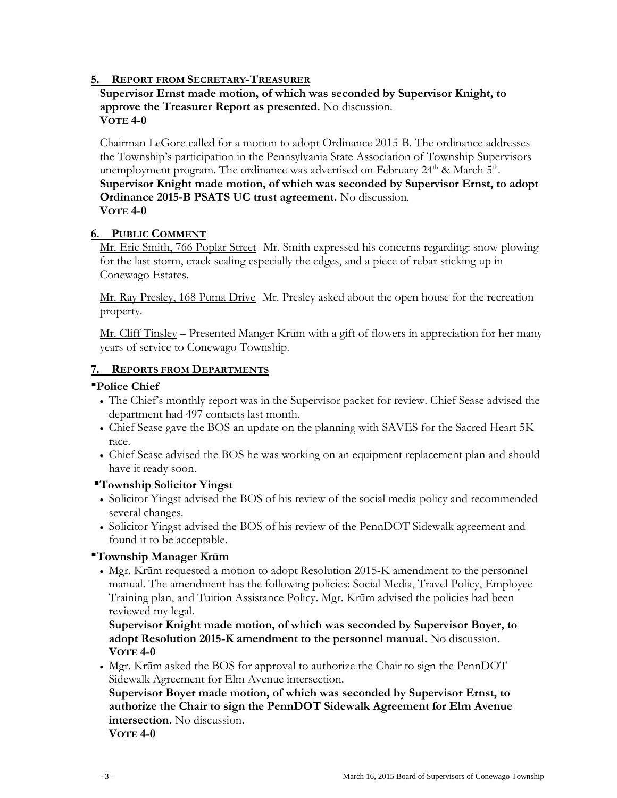### **5. REPORT FROM SECRETARY-TREASURER**

#### **Supervisor Ernst made motion, of which was seconded by Supervisor Knight, to approve the Treasurer Report as presented.** No discussion. **VOTE 4-0**

Chairman LeGore called for a motion to adopt Ordinance 2015-B. The ordinance addresses the Township's participation in the Pennsylvania State Association of Township Supervisors unemployment program. The ordinance was advertised on February 24<sup>th</sup> & March 5<sup>th</sup>. **Supervisor Knight made motion, of which was seconded by Supervisor Ernst, to adopt Ordinance 2015-B PSATS UC trust agreement.** No discussion. **VOTE 4-0**

#### **6. PUBLIC COMMENT**

Mr. Eric Smith, 766 Poplar Street- Mr. Smith expressed his concerns regarding: snow plowing for the last storm, crack sealing especially the edges, and a piece of rebar sticking up in Conewago Estates.

Mr. Ray Presley, 168 Puma Drive- Mr. Presley asked about the open house for the recreation property.

Mr. Cliff Tinsley – Presented Manger Krūm with a gift of flowers in appreciation for her many years of service to Conewago Township.

#### **7. REPORTS FROM DEPARTMENTS**

#### **Police Chief**

- The Chief's monthly report was in the Supervisor packet for review. Chief Sease advised the department had 497 contacts last month.
- Chief Sease gave the BOS an update on the planning with SAVES for the Sacred Heart 5K race.
- Chief Sease advised the BOS he was working on an equipment replacement plan and should have it ready soon.

### **Township Solicitor Yingst**

- Solicitor Yingst advised the BOS of his review of the social media policy and recommended several changes.
- Solicitor Yingst advised the BOS of his review of the PennDOT Sidewalk agreement and found it to be acceptable.

### **Township Manager Krūm**

 Mgr. Krūm requested a motion to adopt Resolution 2015-K amendment to the personnel manual. The amendment has the following policies: Social Media, Travel Policy, Employee Training plan, and Tuition Assistance Policy. Mgr. Krūm advised the policies had been reviewed my legal.

**Supervisor Knight made motion, of which was seconded by Supervisor Boyer, to adopt Resolution 2015-K amendment to the personnel manual.** No discussion. **VOTE 4-0**

 Mgr. Krūm asked the BOS for approval to authorize the Chair to sign the PennDOT Sidewalk Agreement for Elm Avenue intersection.

**Supervisor Boyer made motion, of which was seconded by Supervisor Ernst, to authorize the Chair to sign the PennDOT Sidewalk Agreement for Elm Avenue intersection.** No discussion.

**VOTE 4-0**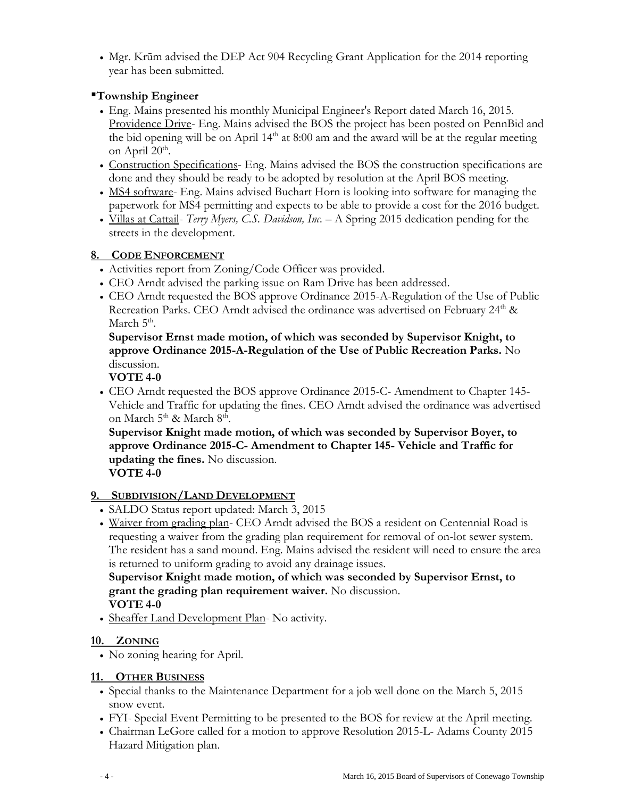Mgr. Krūm advised the DEP Act 904 Recycling Grant Application for the 2014 reporting year has been submitted.

## **Township Engineer**

- Eng. Mains presented his monthly Municipal Engineer's Report dated March 16, 2015. Providence Drive- Eng. Mains advised the BOS the project has been posted on PennBid and the bid opening will be on April  $14<sup>th</sup>$  at 8:00 am and the award will be at the regular meeting on April  $20<sup>th</sup>$ .
- Construction Specifications- Eng. Mains advised the BOS the construction specifications are done and they should be ready to be adopted by resolution at the April BOS meeting.
- MS4 software- Eng. Mains advised Buchart Horn is looking into software for managing the paperwork for MS4 permitting and expects to be able to provide a cost for the 2016 budget.
- Villas at Cattail- *Terry Myers, C.S. Davidson, Inc. –* A Spring 2015 dedication pending for the streets in the development.

# **8. CODE ENFORCEMENT**

- Activities report from Zoning/Code Officer was provided.
- CEO Arndt advised the parking issue on Ram Drive has been addressed.
- CEO Arndt requested the BOS approve Ordinance 2015-A-Regulation of the Use of Public Recreation Parks. CEO Arndt advised the ordinance was advertised on February  $24<sup>th</sup>$  & March 5<sup>th</sup>.

**Supervisor Ernst made motion, of which was seconded by Supervisor Knight, to approve Ordinance 2015-A-Regulation of the Use of Public Recreation Parks.** No discussion.

**VOTE 4-0**

 CEO Arndt requested the BOS approve Ordinance 2015-C- Amendment to Chapter 145- Vehicle and Traffic for updating the fines. CEO Arndt advised the ordinance was advertised on March  $5^{\text{th}}$  & March  $8^{\text{th}}$ .

**Supervisor Knight made motion, of which was seconded by Supervisor Boyer, to approve Ordinance 2015-C- Amendment to Chapter 145- Vehicle and Traffic for updating the fines.** No discussion.

# **VOTE 4-0**

# **9. SUBDIVISION/LAND DEVELOPMENT**

- SALDO Status report updated: March 3, 2015
- Waiver from grading plan- CEO Arndt advised the BOS a resident on Centennial Road is requesting a waiver from the grading plan requirement for removal of on-lot sewer system. The resident has a sand mound. Eng. Mains advised the resident will need to ensure the area is returned to uniform grading to avoid any drainage issues.

**Supervisor Knight made motion, of which was seconded by Supervisor Ernst, to grant the grading plan requirement waiver.** No discussion. **VOTE 4-0**

• Sheaffer Land Development Plan- No activity.

# **10. ZONING**

No zoning hearing for April.

## **11. OTHER BUSINESS**

- Special thanks to the Maintenance Department for a job well done on the March 5, 2015 snow event.
- FYI- Special Event Permitting to be presented to the BOS for review at the April meeting.
- Chairman LeGore called for a motion to approve Resolution 2015-L- Adams County 2015 Hazard Mitigation plan.